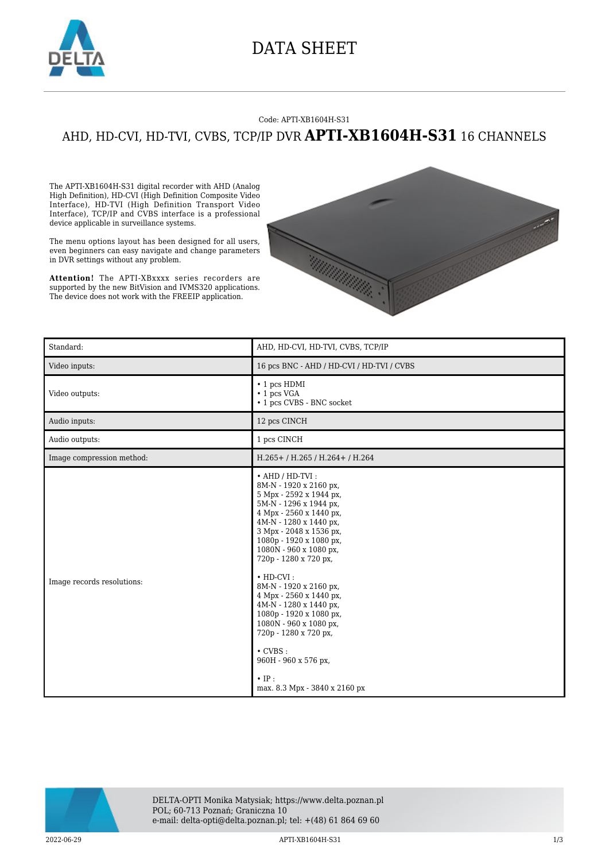

## DATA SHEET

## Code: APTI-XB1604H-S31 AHD, HD-CVI, HD-TVI, CVBS, TCP/IP DVR **APTI-XB1604H-S31** 16 CHANNELS

The APTI-XB1604H-S31 digital recorder with AHD (Analog High Definition), HD-CVI (High Definition Composite Video Interface), HD-TVI (High Definition Transport Video Interface), TCP/IP and CVBS interface is a professional device applicable in surveillance systems.

The menu options layout has been designed for all users, even beginners can easy navigate and change parameters in DVR settings without any problem.

**Attention!** The APTI-XBxxxx series recorders are supported by the new BitVision and IVMS320 applications. The device does not work with the FREEIP application.



| Standard:                  | AHD, HD-CVI, HD-TVI, CVBS, TCP/IP                                                                                                                                                                                                                                                                                                                                                                                                                                                                                                            |
|----------------------------|----------------------------------------------------------------------------------------------------------------------------------------------------------------------------------------------------------------------------------------------------------------------------------------------------------------------------------------------------------------------------------------------------------------------------------------------------------------------------------------------------------------------------------------------|
| Video inputs:              | 16 pcs BNC - AHD / HD-CVI / HD-TVI / CVBS                                                                                                                                                                                                                                                                                                                                                                                                                                                                                                    |
| Video outputs:             | $\cdot$ 1 pcs HDMI<br>$\cdot$ 1 pcs VGA<br>• 1 pcs CVBS - BNC socket                                                                                                                                                                                                                                                                                                                                                                                                                                                                         |
| Audio inputs:              | 12 pcs CINCH                                                                                                                                                                                                                                                                                                                                                                                                                                                                                                                                 |
| Audio outputs:             | 1 pcs CINCH                                                                                                                                                                                                                                                                                                                                                                                                                                                                                                                                  |
| Image compression method:  | H.265+/H.265/H.264+/H.264                                                                                                                                                                                                                                                                                                                                                                                                                                                                                                                    |
| Image records resolutions: | $\cdot$ AHD / HD-TVI:<br>8M-N - 1920 x 2160 px,<br>5 Mpx - 2592 x 1944 px,<br>5M-N - 1296 x 1944 px,<br>4 Mpx - 2560 x 1440 px,<br>4M-N - 1280 x 1440 px,<br>3 Mpx - 2048 x 1536 px,<br>1080p - 1920 x 1080 px,<br>1080N - 960 x 1080 px,<br>720р - 1280 х 720 рх,<br>$\cdot$ HD-CVI:<br>8M-N - 1920 x 2160 px,<br>4 Mpx - 2560 x 1440 px,<br>4M-N - 1280 x 1440 px,<br>1080p - 1920 x 1080 px,<br>1080N - 960 x 1080 px,<br>720р - 1280 х 720 рх,<br>$\cdot$ CVBS :<br>960Н - 960 х 576 рх,<br>$\cdot$ IP:<br>max. 8.3 Mpx - 3840 x 2160 px |



DELTA-OPTI Monika Matysiak; https://www.delta.poznan.pl POL; 60-713 Poznań; Graniczna 10 e-mail: delta-opti@delta.poznan.pl; tel: +(48) 61 864 69 60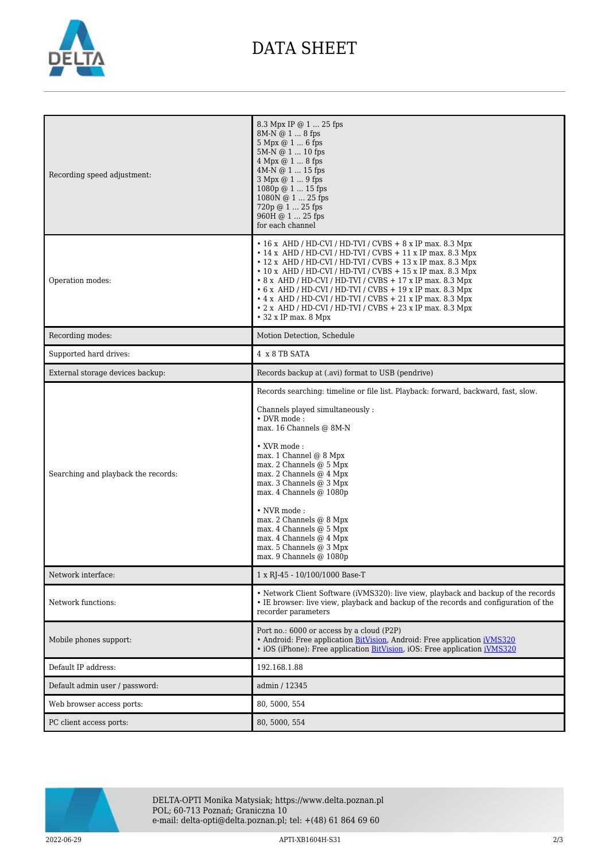

## DATA SHEET

| Recording speed adjustment:         | 8.3 Mpx IP @ 1  25 fps<br>8M-N @ 1  8 fps<br>5 Mpx @ 1  6 fps<br>5M-N @ 1  10 fps<br>4 Mpx @ 1  8 fps<br>$4M-N @ 1  15$ fps<br>3 Mpx @ 1  9 fps<br>$1080p @ 1  15$ fps<br>1080N @ 1  25 fps<br>720p @ 1  25 fps<br>960H @ 1  25 fps<br>for each channel                                                                                                                                                                                                                                                                                                                           |
|-------------------------------------|-----------------------------------------------------------------------------------------------------------------------------------------------------------------------------------------------------------------------------------------------------------------------------------------------------------------------------------------------------------------------------------------------------------------------------------------------------------------------------------------------------------------------------------------------------------------------------------|
| Operation modes:                    | $\cdot$ 16 x AHD / HD-CVI / HD-TVI / CVBS + 8 x IP max. 8.3 Mpx<br>$\cdot$ 14 x AHD / HD-CVI / HD-TVI / CVBS + 11 x IP max. 8.3 Mpx<br>$\cdot$ 12 x AHD / HD-CVI / HD-TVI / CVBS + 13 x IP max. 8.3 Mpx<br>$\cdot$ 10 x AHD / HD-CVI / HD-TVI / CVBS + 15 x IP max. 8.3 Mpx<br>• 8 x AHD / HD-CVI / HD-TVI / CVBS + 17 x IP max. 8.3 Mpx<br>$\cdot$ 6 x AHD / HD-CVI / HD-TVI / CVBS + 19 x IP max. 8.3 Mpx<br>$\cdot$ 4 x AHD / HD-CVI / HD-TVI / CVBS + 21 x IP max. 8.3 Mpx<br>$\cdot$ 2 x AHD / HD-CVI / HD-TVI / CVBS + 23 x IP max. 8.3 Mpx<br>$\bullet$ 32 x IP max. 8 Mpx |
| Recording modes:                    | Motion Detection, Schedule                                                                                                                                                                                                                                                                                                                                                                                                                                                                                                                                                        |
| Supported hard drives:              | 4 x 8 TB SATA                                                                                                                                                                                                                                                                                                                                                                                                                                                                                                                                                                     |
| External storage devices backup:    | Records backup at (.avi) format to USB (pendrive)                                                                                                                                                                                                                                                                                                                                                                                                                                                                                                                                 |
| Searching and playback the records: | Records searching: timeline or file list. Playback: forward, backward, fast, slow.<br>Channels played simultaneously:<br>$\bullet$ DVR mode :<br>max. 16 Channels @ 8M-N<br>• XVR mode:<br>max. 1 Channel @ 8 Mpx<br>max. 2 Channels @ 5 Mpx<br>max. 2 Channels @ 4 Mpx<br>max. 3 Channels @ 3 Mpx<br>max. 4 Channels @ 1080p<br>• NVR mode:<br>max. 2 Channels @ 8 Mpx<br>max. 4 Channels @ 5 Mpx<br>max. 4 Channels @ 4 Mpx<br>max. 5 Channels @ 3 Mpx<br>max. 9 Channels @ 1080p                                                                                               |
| Network interface:                  | 1 x RJ-45 - 10/100/1000 Base-T                                                                                                                                                                                                                                                                                                                                                                                                                                                                                                                                                    |
| Network functions:                  | • Network Client Software (iVMS320): live view, playback and backup of the records<br>• IE browser: live view, playback and backup of the records and configuration of the<br>recorder parameters                                                                                                                                                                                                                                                                                                                                                                                 |
| Mobile phones support:              | Port no.: 6000 or access by a cloud (P2P)<br>• Android: Free application BitVision, Android: Free application iVMS320<br>• iOS (iPhone): Free application BitVision, iOS: Free application iVMS320                                                                                                                                                                                                                                                                                                                                                                                |
| Default IP address:                 | 192.168.1.88                                                                                                                                                                                                                                                                                                                                                                                                                                                                                                                                                                      |
| Default admin user / password:      | admin / 12345                                                                                                                                                                                                                                                                                                                                                                                                                                                                                                                                                                     |
| Web browser access ports:           | 80, 5000, 554                                                                                                                                                                                                                                                                                                                                                                                                                                                                                                                                                                     |
| PC client access ports:             | 80, 5000, 554                                                                                                                                                                                                                                                                                                                                                                                                                                                                                                                                                                     |



DELTA-OPTI Monika Matysiak; https://www.delta.poznan.pl POL; 60-713 Poznań; Graniczna 10 e-mail: delta-opti@delta.poznan.pl; tel: +(48) 61 864 69 60